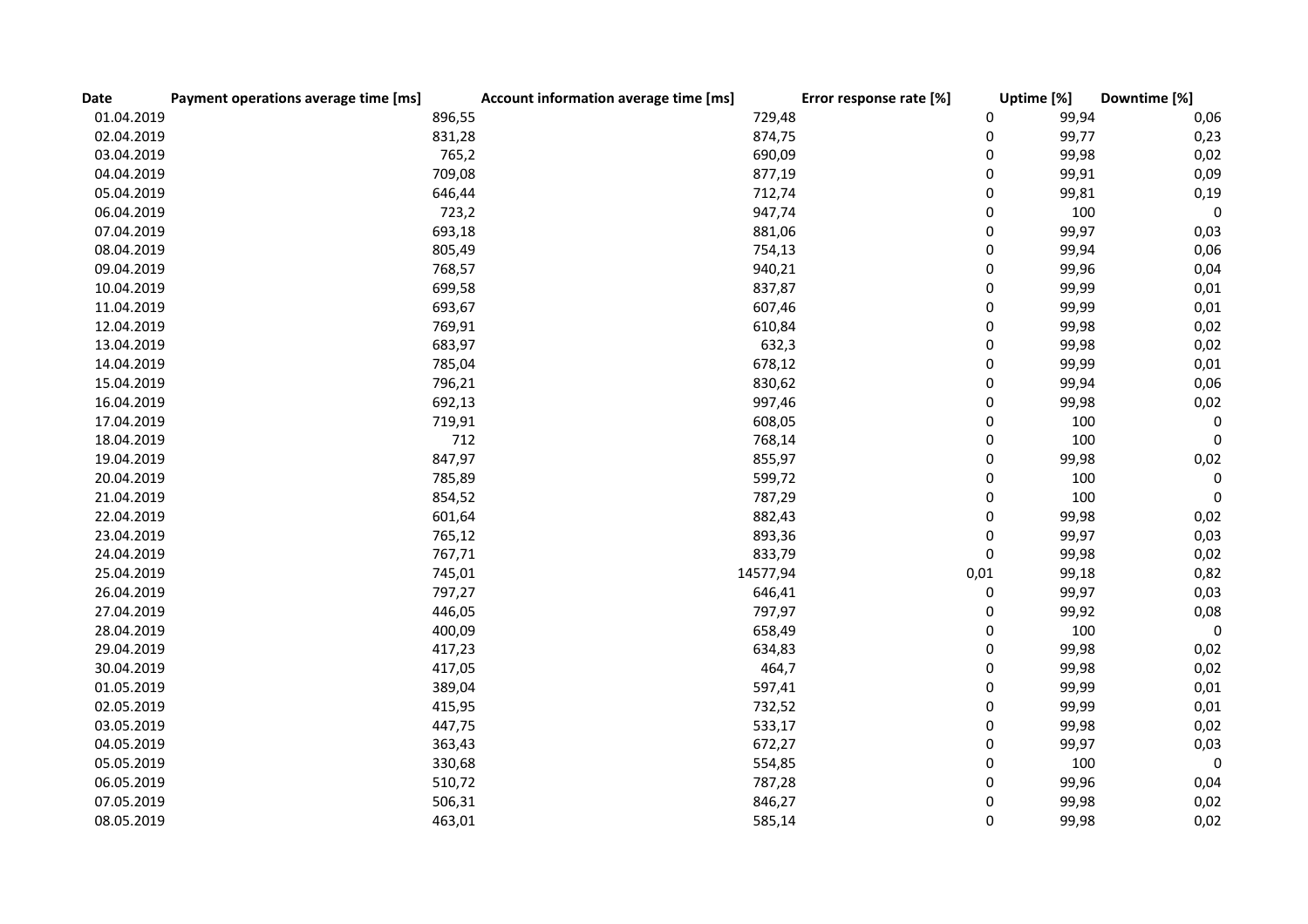| Date       | Payment operations average time [ms] | Account information average time [ms] | Error response rate [%] | Uptime [%] | Downtime [%]     |
|------------|--------------------------------------|---------------------------------------|-------------------------|------------|------------------|
| 01.04.2019 | 896,55                               | 729,48                                | 0                       | 99,94      | 0,06             |
| 02.04.2019 | 831,28                               | 874,75                                | 0                       | 99,77      | 0,23             |
| 03.04.2019 | 765,2                                | 690,09                                | 0                       | 99,98      | 0,02             |
| 04.04.2019 | 709,08                               | 877,19                                | 0                       | 99,91      | 0,09             |
| 05.04.2019 | 646,44                               | 712,74                                | 0                       | 99,81      | 0,19             |
| 06.04.2019 | 723,2                                | 947,74                                | 0                       | 100        | $\boldsymbol{0}$ |
| 07.04.2019 | 693,18                               | 881,06                                | 0                       | 99,97      | 0,03             |
| 08.04.2019 | 805,49                               | 754,13                                | 0                       | 99,94      | 0,06             |
| 09.04.2019 | 768,57                               | 940,21                                | 0                       | 99,96      | 0,04             |
| 10.04.2019 | 699,58                               | 837,87                                | 0                       | 99,99      | 0,01             |
| 11.04.2019 | 693,67                               | 607,46                                | 0                       | 99,99      | 0,01             |
| 12.04.2019 | 769,91                               | 610,84                                | 0                       | 99,98      | 0,02             |
| 13.04.2019 | 683,97                               | 632,3                                 | 0                       | 99,98      | 0,02             |
| 14.04.2019 | 785,04                               | 678,12                                | 0                       | 99,99      | 0,01             |
| 15.04.2019 | 796,21                               | 830,62                                | 0                       | 99,94      | 0,06             |
| 16.04.2019 | 692,13                               | 997,46                                | 0                       | 99,98      | 0,02             |
| 17.04.2019 | 719,91                               | 608,05                                | 0                       | 100        | $\pmb{0}$        |
| 18.04.2019 | 712                                  | 768,14                                | 0                       | 100        | $\boldsymbol{0}$ |
| 19.04.2019 | 847,97                               | 855,97                                | 0                       | 99,98      | 0,02             |
| 20.04.2019 | 785,89                               | 599,72                                | 0                       | 100        | 0                |
| 21.04.2019 | 854,52                               | 787,29                                | 0                       | 100        | $\boldsymbol{0}$ |
| 22.04.2019 | 601,64                               | 882,43                                | 0                       | 99,98      | 0,02             |
| 23.04.2019 | 765,12                               | 893,36                                | 0                       | 99,97      | 0,03             |
| 24.04.2019 | 767,71                               | 833,79                                | 0                       | 99,98      | 0,02             |
| 25.04.2019 | 745,01                               | 14577,94                              | 0,01                    | 99,18      | 0,82             |
| 26.04.2019 | 797,27                               | 646,41                                | 0                       | 99,97      | 0,03             |
| 27.04.2019 | 446,05                               | 797,97                                | 0                       | 99,92      | 0,08             |
| 28.04.2019 | 400,09                               | 658,49                                | 0                       | 100        | $\pmb{0}$        |
| 29.04.2019 | 417,23                               | 634,83                                | 0                       | 99,98      | 0,02             |
| 30.04.2019 | 417,05                               | 464,7                                 | 0                       | 99,98      | 0,02             |
| 01.05.2019 | 389,04                               | 597,41                                | 0                       | 99,99      | 0,01             |
| 02.05.2019 | 415,95                               | 732,52                                | 0                       | 99,99      | 0,01             |
| 03.05.2019 | 447,75                               | 533,17                                | 0                       | 99,98      | 0,02             |
| 04.05.2019 | 363,43                               | 672,27                                | 0                       | 99,97      | 0,03             |
| 05.05.2019 | 330,68                               | 554,85                                | 0                       | 100        | $\boldsymbol{0}$ |
| 06.05.2019 | 510,72                               | 787,28                                | 0                       | 99,96      | 0,04             |
| 07.05.2019 | 506,31                               | 846,27                                | 0                       | 99,98      | 0,02             |
| 08.05.2019 | 463,01                               | 585,14                                | 0                       | 99,98      | 0,02             |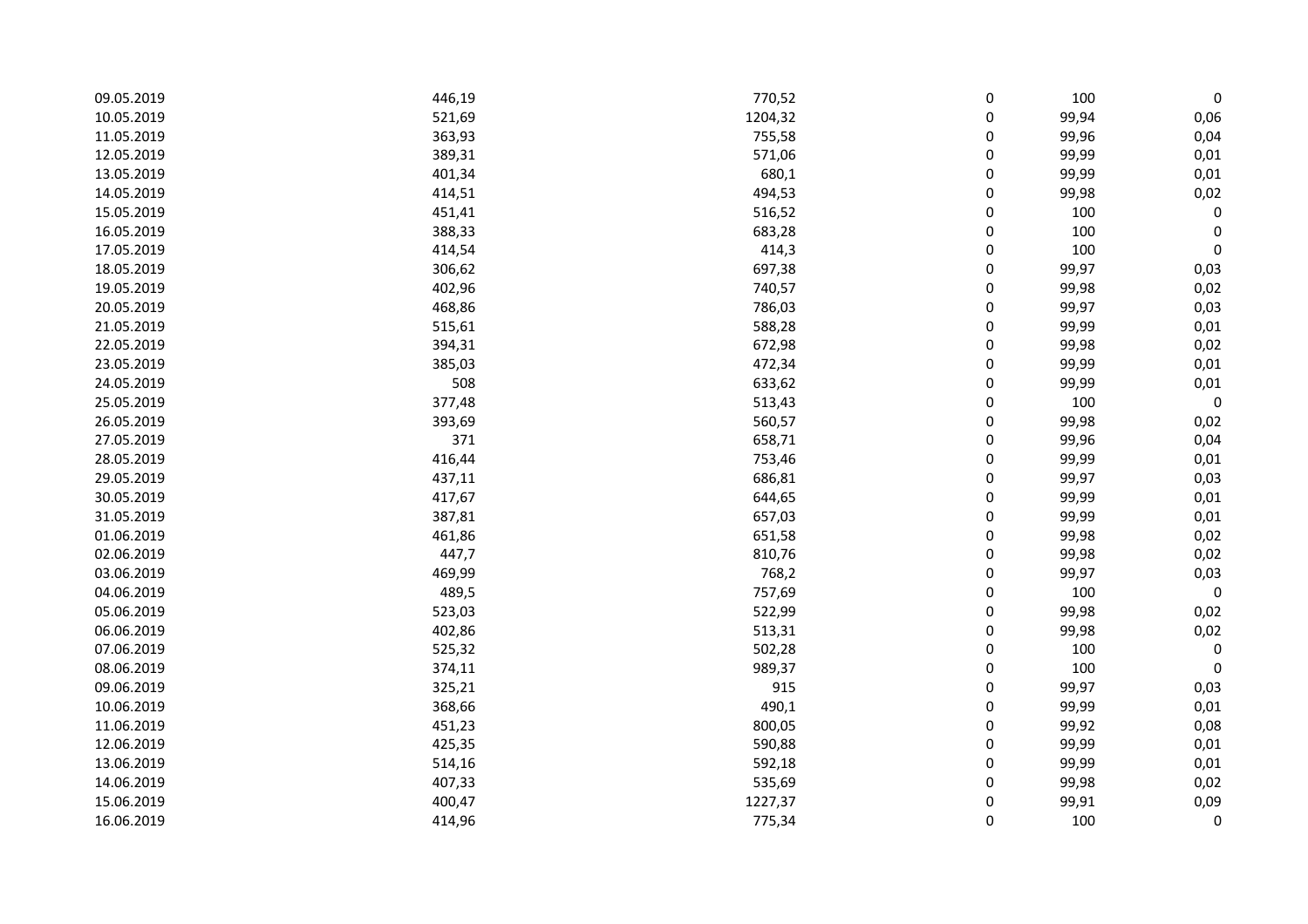| 09.05.2019 | 446,19 | 770,52  | 0 | 100   | 0           |
|------------|--------|---------|---|-------|-------------|
| 10.05.2019 | 521,69 | 1204,32 | 0 | 99,94 | 0,06        |
| 11.05.2019 | 363,93 | 755,58  | 0 | 99,96 | 0,04        |
| 12.05.2019 | 389,31 | 571,06  | 0 | 99,99 | 0,01        |
| 13.05.2019 | 401,34 | 680,1   | 0 | 99,99 | 0,01        |
| 14.05.2019 | 414,51 | 494,53  | 0 | 99,98 | 0,02        |
| 15.05.2019 | 451,41 | 516,52  | 0 | 100   | $\pmb{0}$   |
| 16.05.2019 | 388,33 | 683,28  | 0 | 100   | $\pmb{0}$   |
| 17.05.2019 | 414,54 | 414,3   | 0 | 100   | $\pmb{0}$   |
| 18.05.2019 | 306,62 | 697,38  | 0 | 99,97 | 0,03        |
| 19.05.2019 | 402,96 | 740,57  | 0 | 99,98 | 0,02        |
| 20.05.2019 | 468,86 | 786,03  | 0 | 99,97 | 0,03        |
| 21.05.2019 | 515,61 | 588,28  | 0 | 99,99 | 0,01        |
| 22.05.2019 | 394,31 | 672,98  | 0 | 99,98 | 0,02        |
| 23.05.2019 | 385,03 | 472,34  | 0 | 99,99 | 0,01        |
| 24.05.2019 | 508    | 633,62  | 0 | 99,99 | 0,01        |
| 25.05.2019 | 377,48 | 513,43  | 0 | 100   | $\mathbf 0$ |
| 26.05.2019 | 393,69 | 560,57  | 0 | 99,98 | 0,02        |
| 27.05.2019 | 371    | 658,71  | 0 | 99,96 | 0,04        |
| 28.05.2019 | 416,44 | 753,46  | 0 | 99,99 | 0,01        |
| 29.05.2019 | 437,11 | 686,81  | 0 | 99,97 | 0,03        |
| 30.05.2019 | 417,67 | 644,65  | 0 | 99,99 | 0,01        |
| 31.05.2019 | 387,81 | 657,03  | 0 | 99,99 | 0,01        |
| 01.06.2019 | 461,86 | 651,58  | 0 | 99,98 | 0,02        |
| 02.06.2019 | 447,7  | 810,76  | 0 | 99,98 | 0,02        |
| 03.06.2019 | 469,99 | 768,2   | 0 | 99,97 | 0,03        |
| 04.06.2019 | 489,5  | 757,69  | 0 | 100   | $\mathbf 0$ |
| 05.06.2019 | 523,03 | 522,99  | 0 | 99,98 | 0,02        |
| 06.06.2019 | 402,86 | 513,31  | 0 | 99,98 | 0,02        |
| 07.06.2019 | 525,32 | 502,28  | 0 | 100   | $\pmb{0}$   |
| 08.06.2019 | 374,11 | 989,37  | 0 | 100   | 0           |
| 09.06.2019 | 325,21 | 915     | 0 | 99,97 | 0,03        |
| 10.06.2019 | 368,66 | 490,1   | 0 | 99,99 | 0,01        |
| 11.06.2019 | 451,23 | 800,05  | 0 | 99,92 | 0,08        |
| 12.06.2019 | 425,35 | 590,88  | 0 | 99,99 | 0,01        |
| 13.06.2019 | 514,16 | 592,18  | 0 | 99,99 | 0,01        |
| 14.06.2019 | 407,33 | 535,69  | 0 | 99,98 | 0,02        |
| 15.06.2019 | 400,47 | 1227,37 | 0 | 99,91 | 0,09        |
| 16.06.2019 | 414,96 | 775,34  | 0 | 100   | $\pmb{0}$   |